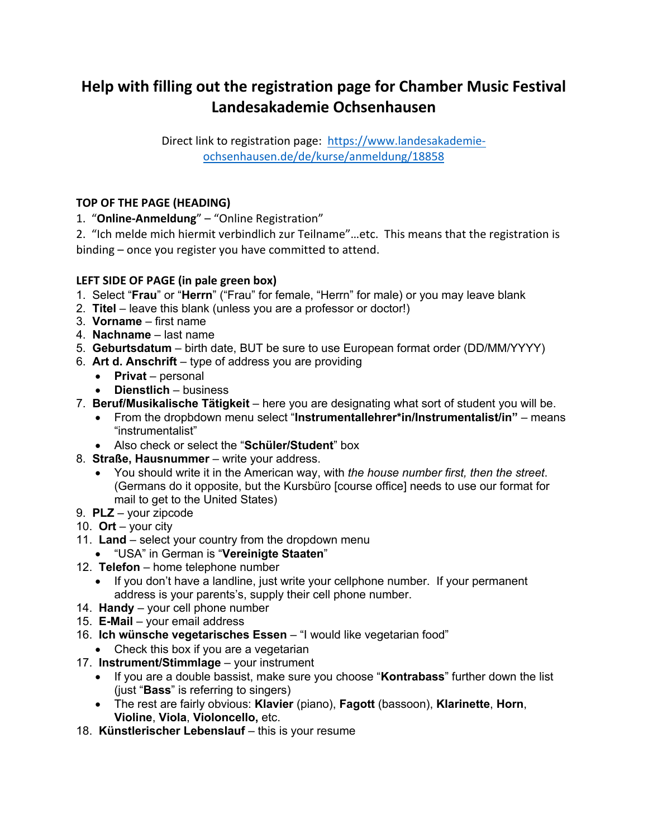# **Help with filling out the registration page for Chamber Music Festival Landesakademie Ochsenhausen**

Direct link to registration page: https://www.landesakademieochsenhausen.de/de/kurse/anmeldung/18858

# **TOP OF THE PAGE (HEADING)**

1. "**Online-Anmeldung**" – "Online Registration"

2. "Ich melde mich hiermit verbindlich zur Teilname"…etc. This means that the registration is binding – once you register you have committed to attend.

# **LEFT SIDE OF PAGE (in pale green box)**

- 1. Select "**Frau**" or "**Herrn**" ("Frau" for female, "Herrn" for male) or you may leave blank
- 2. **Titel** leave this blank (unless you are a professor or doctor!)
- 3. **Vorname** first name
- 4. **Nachname** last name
- 5. **Geburtsdatum** birth date, BUT be sure to use European format order (DD/MM/YYYY)
- 6. **Art d. Anschrift** type of address you are providing
	- **Privat** personal
	- **Dienstlich**  business
- 7. **Beruf/Musikalische Tätigkeit** here you are designating what sort of student you will be.
	- From the dropbdown menu select "**Instrumentallehrer\*in/Instrumentalist/in"**  means "instrumentalist"
	- Also check or select the "**Schüler/Student**" box
- 8. **Straße, Hausnummer**  write your address.
	- You should write it in the American way, with *the house number first, then the street*. (Germans do it opposite, but the Kursbüro [course office] needs to use our format for mail to get to the United States)
- 9. **PLZ** your zipcode
- 10. **Ort**  your city
- 11. **Land**  select your country from the dropdown menu
	- "USA" in German is "**Vereinigte Staaten**"
- 12. **Telefon** home telephone number
	- If you don't have a landline, just write your cellphone number. If your permanent address is your parents's, supply their cell phone number.
- 14. **Handy**  your cell phone number
- 15. **E-Mail** your email address
- 16. **Ich wünsche vegetarisches Essen**  "I would like vegetarian food"
	- Check this box if you are a vegetarian
- 17. **Instrument/Stimmlage** your instrument
	- If you are a double bassist, make sure you choose "**Kontrabass**" further down the list (just "**Bass**" is referring to singers)
	- The rest are fairly obvious: **Klavier** (piano), **Fagott** (bassoon), **Klarinette**, **Horn**, **Violine**, **Viola**, **Violoncello,** etc.
- 18. **Künstlerischer Lebenslauf** this is your resume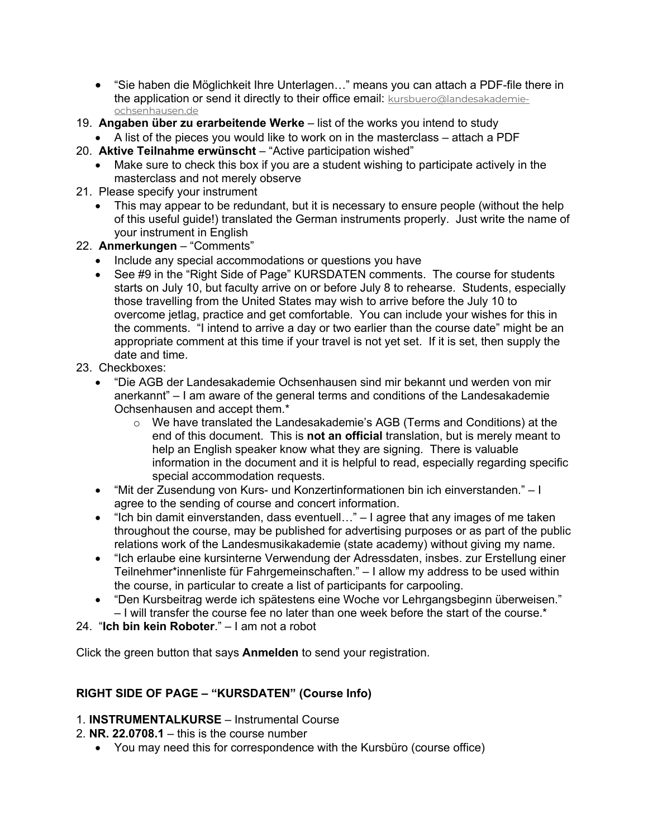- "Sie haben die Möglichkeit Ihre Unterlagen…" means you can attach a PDF-file there in the application or send it directly to their office email: kursbuero@landesakademieochsenhausen.de
- 19. **Angaben über zu erarbeitende Werke** list of the works you intend to study
- A list of the pieces you would like to work on in the masterclass attach a PDF
- 20. **Aktive Teilnahme erwünscht** "Active participation wished"
	- Make sure to check this box if you are a student wishing to participate actively in the masterclass and not merely observe
- 21. Please specify your instrument
	- This may appear to be redundant, but it is necessary to ensure people (without the help of this useful guide!) translated the German instruments properly. Just write the name of your instrument in English
- 22. **Anmerkungen** "Comments"
	- Include any special accommodations or questions you have
	- See #9 in the "Right Side of Page" KURSDATEN comments. The course for students starts on July 10, but faculty arrive on or before July 8 to rehearse. Students, especially those travelling from the United States may wish to arrive before the July 10 to overcome jetlag, practice and get comfortable. You can include your wishes for this in the comments. "I intend to arrive a day or two earlier than the course date" might be an appropriate comment at this time if your travel is not yet set. If it is set, then supply the date and time.
- 23. Checkboxes:
	- "Die AGB der Landesakademie Ochsenhausen sind mir bekannt und werden von mir anerkannt" – I am aware of the general terms and conditions of the Landesakademie Ochsenhausen and accept them.\*
		- o We have translated the Landesakademie's AGB (Terms and Conditions) at the end of this document. This is **not an official** translation, but is merely meant to help an English speaker know what they are signing. There is valuable information in the document and it is helpful to read, especially regarding specific special accommodation requests.
	- "Mit der Zusendung von Kurs- und Konzertinformationen bin ich einverstanden." I agree to the sending of course and concert information.
	- "Ich bin damit einverstanden, dass eventuell…" I agree that any images of me taken throughout the course, may be published for advertising purposes or as part of the public relations work of the Landesmusikakademie (state academy) without giving my name.
	- "Ich erlaube eine kursinterne Verwendung der Adressdaten, insbes. zur Erstellung einer Teilnehmer\*innenliste für Fahrgemeinschaften." – I allow my address to be used within the course, in particular to create a list of participants for carpooling.
	- "Den Kursbeitrag werde ich spätestens eine Woche vor Lehrgangsbeginn überweisen." – I will transfer the course fee no later than one week before the start of the course.\*

24. "**Ich bin kein Roboter**." – I am not a robot

Click the green button that says **Anmelden** to send your registration.

# **RIGHT SIDE OF PAGE – "KURSDATEN" (Course Info)**

- 1. **INSTRUMENTALKURSE**  Instrumental Course
- 2. **NR. 22.0708.1**  this is the course number
	- You may need this for correspondence with the Kursbüro (course office)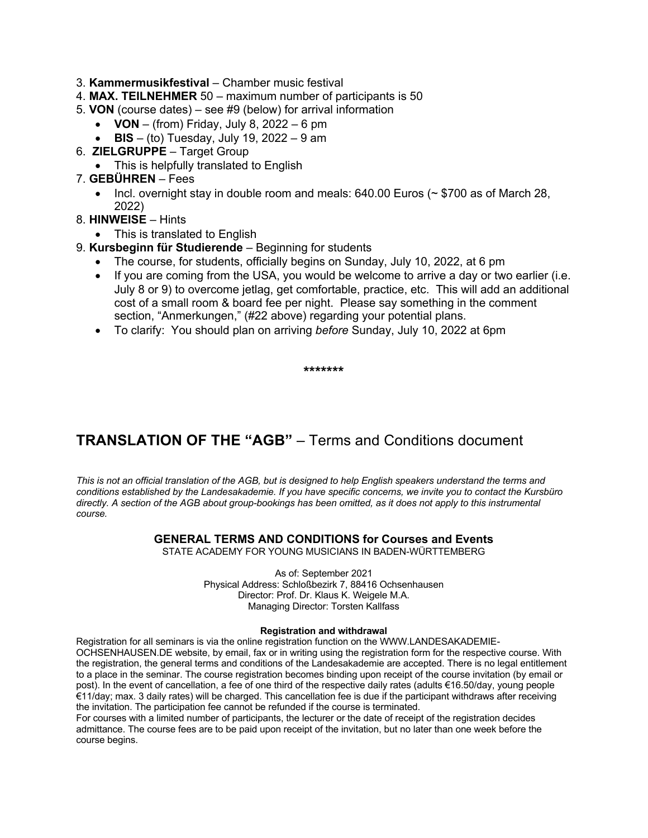- 3. **Kammermusikfestival**  Chamber music festival
- 4. **MAX. TEILNEHMER** 50 maximum number of participants is 50
- 5. **VON** (course dates) see #9 (below) for arrival information
	- **VON** (from) Friday, July 8, 2022 6 pm
	- **BIS**  (to) Tuesday, July 19, 2022 9 am
- 6. **ZIELGRUPPE**  Target Group
	- This is helpfully translated to English
- 7. **GEBÜHREN**  Fees
	- Incl. overnight stay in double room and meals:  $640.00$  Euros ( $\sim$  \$700 as of March 28, 2022)
- 8. **HINWEISE**  Hints
	- This is translated to English
- 9. **Kursbeginn für Studierende**  Beginning for students
	- The course, for students, officially begins on Sunday, July 10, 2022, at 6 pm
	- If you are coming from the USA, you would be welcome to arrive a day or two earlier (i.e. July 8 or 9) to overcome jetlag, get comfortable, practice, etc. This will add an additional cost of a small room & board fee per night. Please say something in the comment section, "Anmerkungen," (#22 above) regarding your potential plans.
	- To clarify: You should plan on arriving *before* Sunday, July 10, 2022 at 6pm

**\*\*\*\*\*\*\***

# **TRANSLATION OF THE "AGB"** – Terms and Conditions document

*This is not an official translation of the AGB, but is designed to help English speakers understand the terms and conditions established by the Landesakademie. If you have specific concerns, we invite you to contact the Kursbüro directly. A section of the AGB about group-bookings has been omitted, as it does not apply to this instrumental course.*

### **GENERAL TERMS AND CONDITIONS for Courses and Events**

STATE ACADEMY FOR YOUNG MUSICIANS IN BADEN-WÜRTTEMBERG

As of: September 2021 Physical Address: Schloßbezirk 7, 88416 Ochsenhausen Director: Prof. Dr. Klaus K. Weigele M.A. Managing Director: Torsten Kallfass

### **Registration and withdrawal**

Registration for all seminars is via the online registration function on the WWW.LANDESAKADEMIE-

OCHSENHAUSEN.DE website, by email, fax or in writing using the registration form for the respective course. With the registration, the general terms and conditions of the Landesakademie are accepted. There is no legal entitlement to a place in the seminar. The course registration becomes binding upon receipt of the course invitation (by email or post). In the event of cancellation, a fee of one third of the respective daily rates (adults €16.50/day, young people €11/day; max. 3 daily rates) will be charged. This cancellation fee is due if the participant withdraws after receiving the invitation. The participation fee cannot be refunded if the course is terminated.

For courses with a limited number of participants, the lecturer or the date of receipt of the registration decides admittance. The course fees are to be paid upon receipt of the invitation, but no later than one week before the course begins.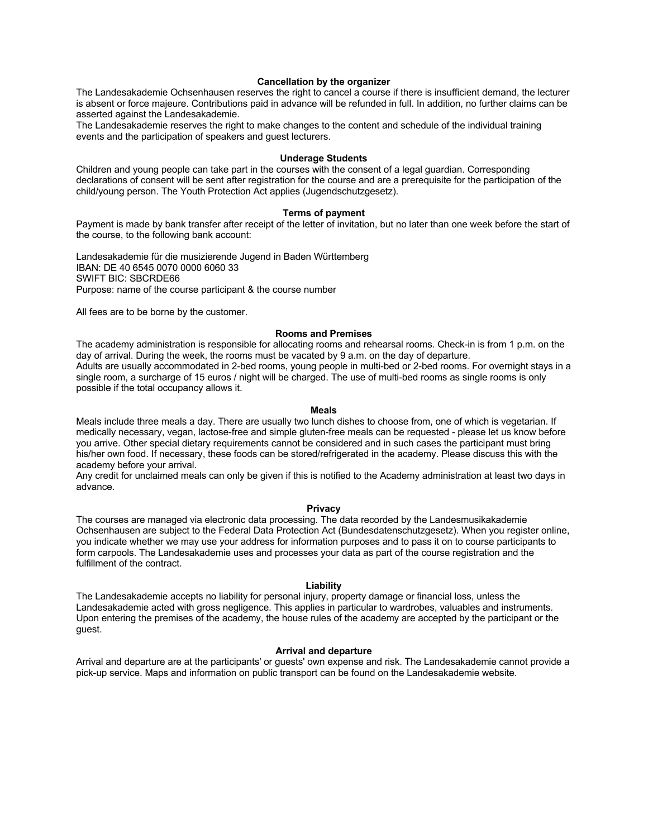#### **Cancellation by the organizer**

The Landesakademie Ochsenhausen reserves the right to cancel a course if there is insufficient demand, the lecturer is absent or force majeure. Contributions paid in advance will be refunded in full. In addition, no further claims can be asserted against the Landesakademie.

The Landesakademie reserves the right to make changes to the content and schedule of the individual training events and the participation of speakers and guest lecturers.

#### **Underage Students**

Children and young people can take part in the courses with the consent of a legal guardian. Corresponding declarations of consent will be sent after registration for the course and are a prerequisite for the participation of the child/young person. The Youth Protection Act applies (Jugendschutzgesetz).

#### **Terms of payment**

Payment is made by bank transfer after receipt of the letter of invitation, but no later than one week before the start of the course, to the following bank account:

Landesakademie für die musizierende Jugend in Baden Württemberg IBAN: DE 40 6545 0070 0000 6060 33 SWIFT BIC: SBCRDE66 Purpose: name of the course participant & the course number

All fees are to be borne by the customer.

#### **Rooms and Premises**

The academy administration is responsible for allocating rooms and rehearsal rooms. Check-in is from 1 p.m. on the day of arrival. During the week, the rooms must be vacated by 9 a.m. on the day of departure. Adults are usually accommodated in 2-bed rooms, young people in multi-bed or 2-bed rooms. For overnight stays in a single room, a surcharge of 15 euros / night will be charged. The use of multi-bed rooms as single rooms is only possible if the total occupancy allows it.

#### **Meals**

Meals include three meals a day. There are usually two lunch dishes to choose from, one of which is vegetarian. If medically necessary, vegan, lactose-free and simple gluten-free meals can be requested - please let us know before you arrive. Other special dietary requirements cannot be considered and in such cases the participant must bring his/her own food. If necessary, these foods can be stored/refrigerated in the academy. Please discuss this with the academy before your arrival.

Any credit for unclaimed meals can only be given if this is notified to the Academy administration at least two days in advance.

#### **Privacy**

The courses are managed via electronic data processing. The data recorded by the Landesmusikakademie Ochsenhausen are subject to the Federal Data Protection Act (Bundesdatenschutzgesetz). When you register online, you indicate whether we may use your address for information purposes and to pass it on to course participants to form carpools. The Landesakademie uses and processes your data as part of the course registration and the fulfillment of the contract.

#### **Liability**

The Landesakademie accepts no liability for personal injury, property damage or financial loss, unless the Landesakademie acted with gross negligence. This applies in particular to wardrobes, valuables and instruments. Upon entering the premises of the academy, the house rules of the academy are accepted by the participant or the guest.

#### **Arrival and departure**

Arrival and departure are at the participants' or guests' own expense and risk. The Landesakademie cannot provide a pick-up service. Maps and information on public transport can be found on the Landesakademie website.